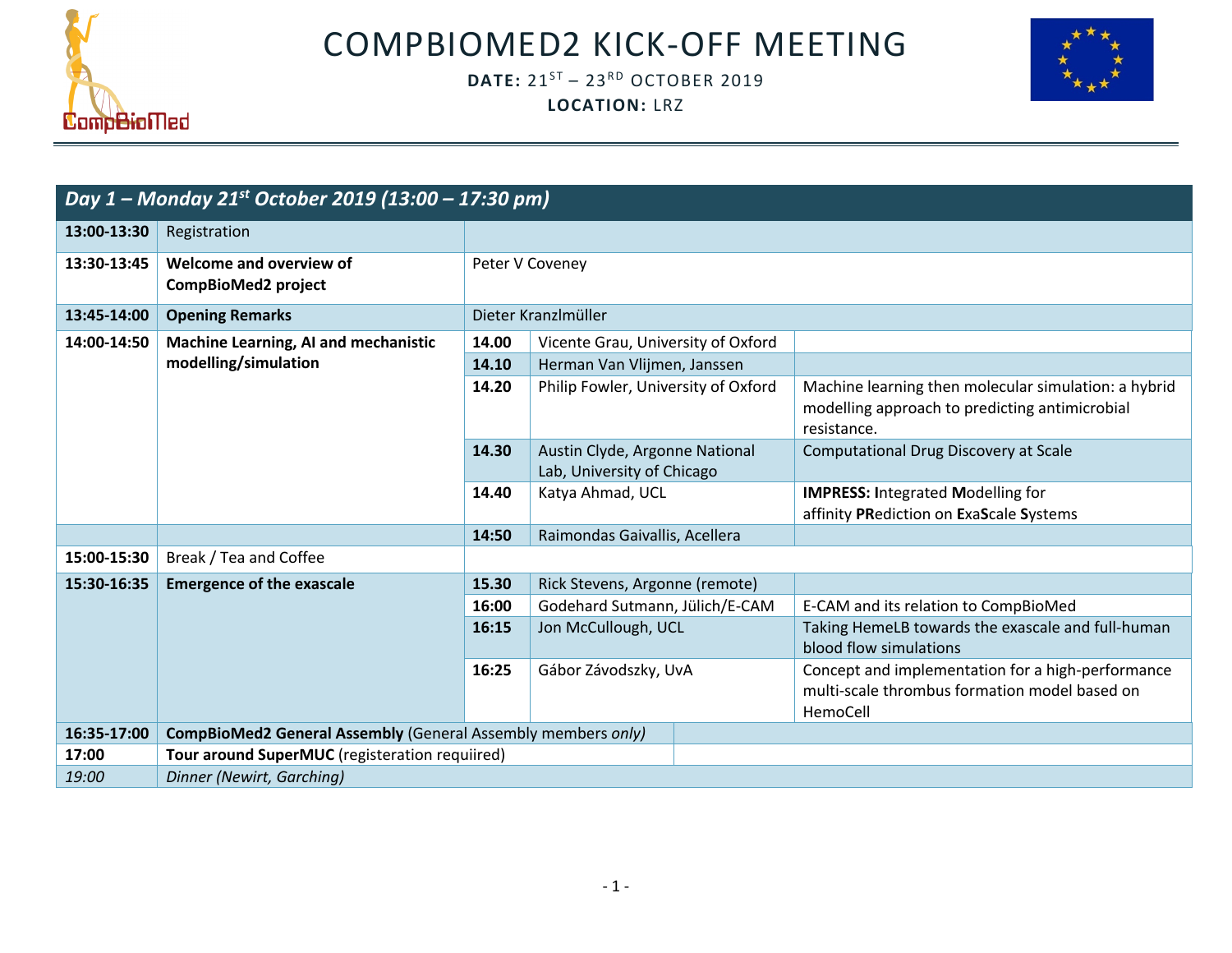

COMPBIOMED2 KICK-OFF MEETING

## **DATE:** 21<sup>ST</sup> - 23<sup>RD</sup> OCTOBER 2019 **LOCATION:** LRZ



| Day 1 – Monday 21st October 2019 (13:00 – 17:30 pm) |                                                                     |                              |                                                                                  |  |                                                                                                                       |  |  |
|-----------------------------------------------------|---------------------------------------------------------------------|------------------------------|----------------------------------------------------------------------------------|--|-----------------------------------------------------------------------------------------------------------------------|--|--|
| 13:00-13:30                                         | Registration                                                        |                              |                                                                                  |  |                                                                                                                       |  |  |
| 13:30-13:45                                         | Welcome and overview of<br><b>CompBioMed2 project</b>               | Peter V Coveney              |                                                                                  |  |                                                                                                                       |  |  |
| 13:45-14:00                                         | <b>Opening Remarks</b>                                              |                              | Dieter Kranzlmüller                                                              |  |                                                                                                                       |  |  |
| 14:00-14:50                                         | Machine Learning, AI and mechanistic                                | 14.00                        | Vicente Grau, University of Oxford                                               |  |                                                                                                                       |  |  |
|                                                     | modelling/simulation                                                | 14.10                        | Herman Van Vlijmen, Janssen                                                      |  |                                                                                                                       |  |  |
|                                                     |                                                                     | 14.20                        | Philip Fowler, University of Oxford                                              |  | Machine learning then molecular simulation: a hybrid<br>modelling approach to predicting antimicrobial<br>resistance. |  |  |
|                                                     |                                                                     | 14.30                        | Austin Clyde, Argonne National<br>Lab, University of Chicago<br>Katya Ahmad, UCL |  | Computational Drug Discovery at Scale                                                                                 |  |  |
|                                                     |                                                                     | 14.40                        |                                                                                  |  | <b>IMPRESS: Integrated Modelling for</b><br>affinity PRediction on ExaScale Systems                                   |  |  |
|                                                     |                                                                     | 14:50                        | Raimondas Gaivallis, Acellera                                                    |  |                                                                                                                       |  |  |
| 15:00-15:30                                         | Break / Tea and Coffee                                              |                              |                                                                                  |  |                                                                                                                       |  |  |
| 15:30-16:35                                         | <b>Emergence of the exascale</b>                                    | 15.30                        | Rick Stevens, Argonne (remote)<br>Godehard Sutmann, Jülich/E-CAM                 |  |                                                                                                                       |  |  |
|                                                     |                                                                     | 16:00                        |                                                                                  |  | E-CAM and its relation to CompBioMed                                                                                  |  |  |
|                                                     |                                                                     | Jon McCullough, UCL<br>16:15 |                                                                                  |  | Taking HemeLB towards the exascale and full-human<br>blood flow simulations                                           |  |  |
|                                                     |                                                                     | 16:25                        | Gábor Závodszky, UvA                                                             |  | Concept and implementation for a high-performance<br>multi-scale thrombus formation model based on<br>HemoCell        |  |  |
| 16:35-17:00                                         | <b>CompBioMed2 General Assembly (General Assembly members only)</b> |                              |                                                                                  |  |                                                                                                                       |  |  |
| 17:00                                               | Tour around SuperMUC (registeration requiired)                      |                              |                                                                                  |  |                                                                                                                       |  |  |
| 19:00                                               | Dinner (Newirt, Garching)                                           |                              |                                                                                  |  |                                                                                                                       |  |  |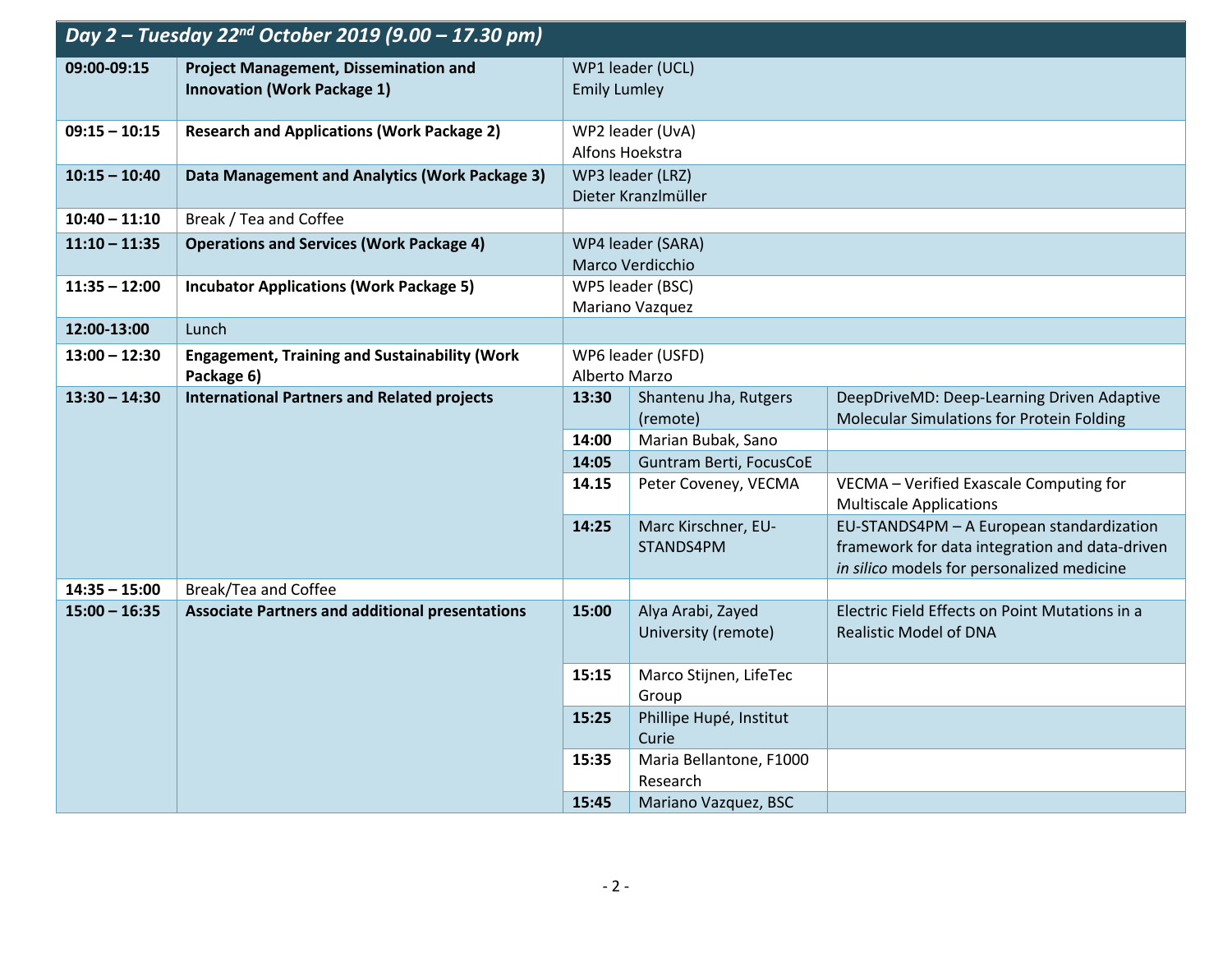| Day 2 - Tuesday 22 <sup>nd</sup> October 2019 (9.00 - 17.30 pm) |                                                                                    |                                     |                                                 |                                                                                                                                           |  |
|-----------------------------------------------------------------|------------------------------------------------------------------------------------|-------------------------------------|-------------------------------------------------|-------------------------------------------------------------------------------------------------------------------------------------------|--|
| 09:00-09:15                                                     | <b>Project Management, Dissemination and</b><br><b>Innovation (Work Package 1)</b> |                                     | WP1 leader (UCL)<br><b>Emily Lumley</b>         |                                                                                                                                           |  |
| $09:15 - 10:15$                                                 | <b>Research and Applications (Work Package 2)</b>                                  |                                     | WP2 leader (UvA)                                |                                                                                                                                           |  |
| $10:15 - 10:40$                                                 | Data Management and Analytics (Work Package 3)                                     | Alfons Hoekstra<br>WP3 leader (LRZ) |                                                 |                                                                                                                                           |  |
|                                                                 |                                                                                    |                                     | Dieter Kranzlmüller                             |                                                                                                                                           |  |
| $10:40 - 11:10$                                                 | Break / Tea and Coffee                                                             |                                     |                                                 |                                                                                                                                           |  |
| $11:10 - 11:35$                                                 | <b>Operations and Services (Work Package 4)</b>                                    |                                     | WP4 leader (SARA)                               |                                                                                                                                           |  |
|                                                                 |                                                                                    |                                     | Marco Verdicchio                                |                                                                                                                                           |  |
| $11:35 - 12:00$                                                 | <b>Incubator Applications (Work Package 5)</b>                                     |                                     | WP5 leader (BSC)<br>Mariano Vazquez             |                                                                                                                                           |  |
| 12:00-13:00                                                     | Lunch                                                                              |                                     |                                                 |                                                                                                                                           |  |
| $13:00 - 12:30$                                                 | <b>Engagement, Training and Sustainability (Work</b><br>Package 6)                 |                                     | WP6 leader (USFD)<br>Alberto Marzo              |                                                                                                                                           |  |
| $13:30 - 14:30$                                                 | <b>International Partners and Related projects</b>                                 | 13:30                               | Shantenu Jha, Rutgers                           | DeepDriveMD: Deep-Learning Driven Adaptive                                                                                                |  |
|                                                                 |                                                                                    |                                     | (remote)                                        | Molecular Simulations for Protein Folding                                                                                                 |  |
|                                                                 |                                                                                    | 14:00                               | Marian Bubak, Sano                              |                                                                                                                                           |  |
|                                                                 |                                                                                    | 14:05<br>14.15                      | Guntram Berti, FocusCoE<br>Peter Coveney, VECMA | VECMA - Verified Exascale Computing for                                                                                                   |  |
|                                                                 |                                                                                    |                                     |                                                 | <b>Multiscale Applications</b>                                                                                                            |  |
|                                                                 |                                                                                    | 14:25                               | Marc Kirschner, EU-<br>STANDS4PM                | EU-STANDS4PM - A European standardization<br>framework for data integration and data-driven<br>in silico models for personalized medicine |  |
| $14:35 - 15:00$                                                 | Break/Tea and Coffee                                                               |                                     |                                                 |                                                                                                                                           |  |
| $15:00 - 16:35$                                                 | <b>Associate Partners and additional presentations</b>                             | 15:00                               | Alya Arabi, Zayed<br>University (remote)        | Electric Field Effects on Point Mutations in a<br><b>Realistic Model of DNA</b>                                                           |  |
|                                                                 |                                                                                    | 15:15                               | Marco Stijnen, LifeTec<br>Group                 |                                                                                                                                           |  |
|                                                                 |                                                                                    | 15:25                               | Phillipe Hupé, Institut<br>Curie                |                                                                                                                                           |  |
|                                                                 |                                                                                    | 15:35                               | Maria Bellantone, F1000<br>Research             |                                                                                                                                           |  |
|                                                                 |                                                                                    | 15:45                               | Mariano Vazquez, BSC                            |                                                                                                                                           |  |